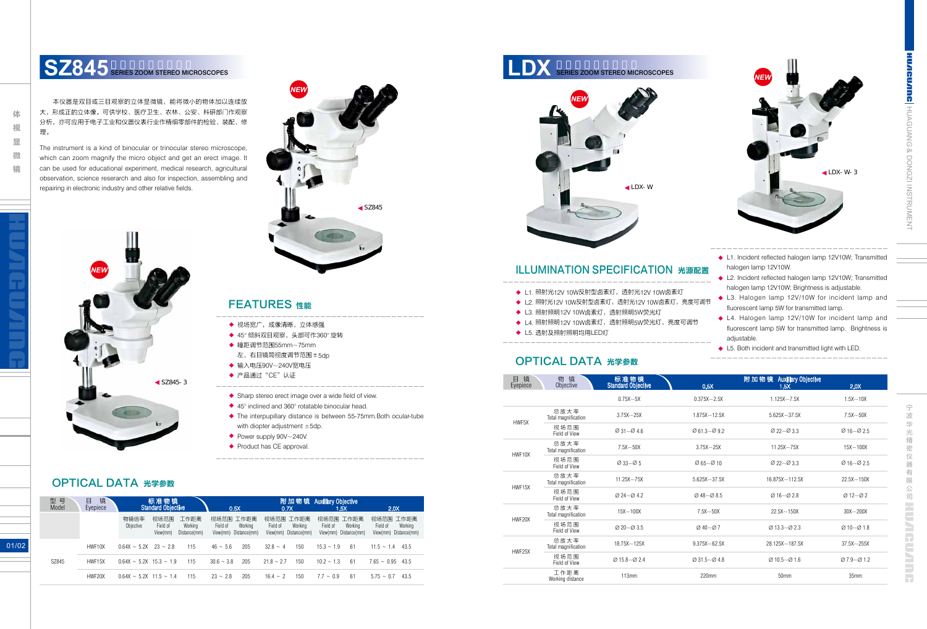宁 波 华 仪 器 有 限 HUNGUNING



镜

## SZ845<sup>S</sup> SERIES ZOOM STEREO MICROSCOPES

本仪器是双目或三目观察的立体显微镜,能将微小的物体加以连续放 大,形成正的立体像。可供学校、医疗卫生、农林、公安、科研部门作观察 分析,亦可应用于电子工业和仪器仪表行业作精细零部件的检验、装配、修 理。

- 瞳距调节范围55mm~75mm ◆
- 左、右目镜筒视度调节范围±5dp
- 输入电压90V~240V宽电压 ◆
- ◆ 产品通过"CE"认证
- ◆ Sharp stereo erect image over a wide field of view.
- ◆ 45° inclined and 360° rotatable binocular head.
- ◆ The interpupillary distance is between 55-75mm. Both ocular-tube with diopter adjustment  $\pm$ 5dp.

The instrument is a kind of binocular or trinocular stereo microscope, which can zoom magnify the micro object and get an erect image. It can be used for educational experiment, medical research, agricultural observation, science reserarch and also for inspection, assembling and repairing in electronic industry and other relative fields.

| 目镜<br>Eyepiece | 物 镜<br>Objective            | 标准物镜<br><b>Standard Objective</b>     | 0.5X                                        | 附加物镜 Auxiliary Objective<br>1.5X       | 2.0X                                 |
|----------------|-----------------------------|---------------------------------------|---------------------------------------------|----------------------------------------|--------------------------------------|
|                |                             | $0.75X - 5X$                          | $0.375X - 2.5X$                             | $1.125X - 7.5X$                        | $1.5X - 10X$                         |
| HWF5X          | 总放大率<br>Total magnification | $3.75X - 25X$                         | $1.875X - 12.5X$                            | $5.625X - 37.5X$                       | $7.5X - 50X$                         |
|                | 视场范围<br>Field of View       | $\varnothing$ 31 ~ $\varnothing$ 4.6  | $\varnothing$ 61.3~ $\varnothing$ 9.2       | $Q22 - Q33$                            | $Ø16 - Ø25$                          |
| HWF10X         | 总放大率<br>Total magnification | $7.5X - 50X$                          | $3.75X - 25X$                               | $11.25X - 75X$                         | $15X - 100X$                         |
|                | 视场范围<br>Field of View       | $\varnothing$ 33 ~ $\varnothing$ 5    | $\varnothing$ 65~ $\varnothing$ 10          | $Q22 - Q33$                            | $Ø16 - Ø25$                          |
| HWF15X         | 总放大率<br>Total magnification | $11.25X - 75X$                        | $5.625X - 37.5X$                            | $16.875X - 112.5X$                     | $22.5X - 150X$                       |
|                | 视场范围<br>Field of View       | $0.24 - 0.42$                         | $\varnothing$ 48 ~ $\varnothing$ 8.5        | $Ø16 - Ø28$                            | $Ø12-Ø2$                             |
| HWF20X         | 总放大率<br>Total magnification | $15X - 100X$                          | $7.5X - 50X$                                | $22.5X - 150X$                         | $30X - 200X$                         |
|                | 视场范围<br>Field of View       | $\varnothing$ 20 ~ $\varnothing$ 3.5  | $Ø$ 40 ~ $Ø$ 7                              | $\varnothing$ 13.3~ $\varnothing$ 2.3  | $\varnothing$ 10 ~ $\varnothing$ 1.8 |
| HWF25X         | 总放大率<br>Total magnification | $18.75X - 125X$                       | $9.375X - 62.5X$                            | 28.125X~187.5X                         | $37.5X - 255X$                       |
|                | 视场范围<br>Field of View       | $\varnothing$ 15.8~ $\varnothing$ 2.4 | $\varnothing$ 31.5 $\sim$ $\varnothing$ 4.8 | $\varnothing$ 10.5 ~ $\varnothing$ 1.6 | $\varnothing$ 7.9~ $\varnothing$ 1.2 |
|                | 工作距离<br>Working distance    | 113mm                                 | $220$ mm                                    | 50 <sub>mm</sub>                       | 35 <sub>mm</sub>                     |

SZ845

- ◆ Power supply 90V~240V.
- ◆ Product has CE approval.

### ILLUMINATION SPECIFICATION 光源配置

- ◆ L1. 照射光12V 10W反射型卤素灯,透射光12V 10W卤素灯
- ◆ L2. 照射光12V 10W反射型卤素灯,透射光12V 10W卤素灯,亮度可调节
- ◆ L3. 照射照明12V 10W卤素灯,透射照明5W荧光灯
- ◆ L4. 照射照明12V 10W卤素灯,透射照明5W荧光灯,亮度可调节
- ◆ L5. 透射及照射照明均用LED灯

#### OPTICAL DATA 光学参数



- ◆ 视场宽广,成像清晰,立体感强
- ◆ 45° 倾斜双目观察,头部可作360° 旋转







- ◆ L1. Incident reflected halogen lamp 12V10W; Transmitted halogen lamp 12V10W.
- ◆ L2. Incident reflected halogen lamp 12V10W; Transmitted halogen lamp 12V10W; Brightness is adjustable.
- ◆ L3. Halogen lamp 12V/10W for incident lamp and fluorescent lamp 5W for transmitted lamp.
	- ◆ L4. Halogen lamp 12V/10W for incident lamp and fluorescent lamp 5W for transmitted lamp. Brightness is adjustable.
	- ◆ L5. Both incident and transmitted light with LED.

*NEW*

#### OPTICAL DATA 光学参数

| 型 号<br>Model | 镜<br>目<br>Eyepiece |                              | 标准物镜<br><b>Standard Objective</b>                               | 0.5X                                                      | 0.7X                                                      | 附加物镜 Auxiliary Objective<br>2.0 <sub>X</sub><br>1.5X         |                                                           |  |
|--------------|--------------------|------------------------------|-----------------------------------------------------------------|-----------------------------------------------------------|-----------------------------------------------------------|--------------------------------------------------------------|-----------------------------------------------------------|--|
|              |                    | 物镜倍率<br>Objective            | 视场范围<br>工作距离<br>Field of<br>Working<br>View(mm)<br>Distance(mm) | 视场范围 工作距离<br>Field of<br>Working<br>View(mm) Distance(mm) | 视场范围 工作距离<br>Working<br>Field of<br>View(mm) Distance(mm) | 视场范围<br>工作距离<br>Field of<br>Working<br>View(mm) Distance(mm) | 视场范围 工作距离<br>Working<br>Field of<br>View(mm) Distance(mm) |  |
|              | HWF10X             | $0.64X \sim 5.2X$ 23 ~ 2.8   | 115                                                             | $46 - 5.6$<br>205                                         | $32.8 - 4$<br>150                                         | $15.3 - 1.9$<br>61                                           | $11.5 - 1.4$<br>43.5                                      |  |
| SZ845        | HWF15X             | $0.64X \sim 5.2X$ 15.3 ~ 1.9 | 115                                                             | $30.6 - 3.8$<br>205                                       | $21.8 - 2.7$<br>150                                       | $10.2 - 1.3$<br>61                                           | $7.65 - 0.95$<br>43.5                                     |  |
|              | HWF20X             | $0.64X \sim 5.2X$ 11.5 ~ 1.4 | 115                                                             | 205<br>$23 - 28$                                          | 150<br>$16.4 - 2$                                         | 61<br>$77 - 0.9$                                             | $5.75 - 0.7$<br>43.5                                      |  |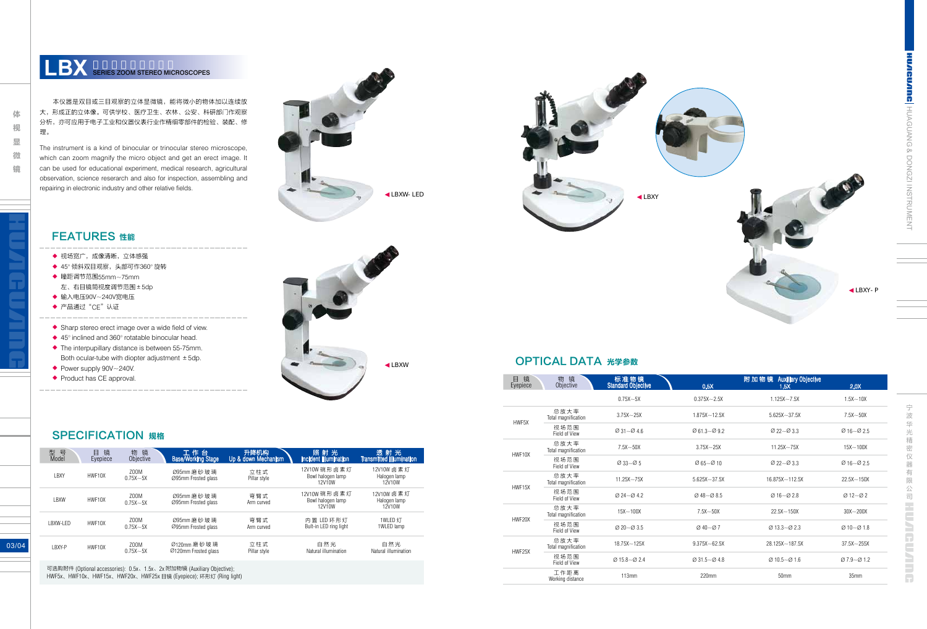**CUARG** HUAGUANG & DONGZI INSTRUMENT HUAGUANG & DONGZI INSTRUMENT

03/04

### **LBX** SERIES ZOOM STEREO MICROSCOPES

本仪器是双目或三目观察的立体显微镜,能将微小的物体加以连续放 大,形成正的立体像。可供学校、医疗卫生、农林、公安、科研部门作观察 分析,亦可应用于电子工业和仪器仪表行业作精细零部件的检验、装配、修 理 。

The instrument is a kind of binocular or trinocular stereo microscope, which can zoom magnify the micro object and get an erect image. It can be used for educational experiment, medical research, agricultural observation, science reserarch and also for inspection, assembling and repairing in electronic industry and other relative fields.

| 型<br>号<br>Model | 镜<br>目<br>Eyepiece | 镜<br>物<br>Objective  | 工作台<br><b>Base/Working Stage</b>     | 升降机构<br>Up & down Mechanism | 照射光<br><b>Incident illumination</b>         | 透射光<br><b>Transmitted illumination</b> |
|-----------------|--------------------|----------------------|--------------------------------------|-----------------------------|---------------------------------------------|----------------------------------------|
| LBXY            | HWF10X             | Z00M<br>$0.75X - 5X$ | Ø95mm 磨 砂 玻 璃<br>Ø95mm Frosted alass | 立柱式<br>Pillar style         | 12V10W 碗形卤素灯<br>Bowl halogen lamp<br>12V10W | 12V10W 卤素灯<br>Halogen lamp<br>12V10W   |
| LBXW            | HWF10X             | Z00M<br>$0.75X - 5X$ | Ø95mm 磨 砂 玻 璃<br>Ø95mm Frosted alass | 弯臂式<br>Arm curved           | 12V10W 碗形卤素灯<br>Bowl halogen lamp<br>12V10W | 12V10W 卤素灯<br>Halogen lamp<br>12V10W   |
| LBXW-LED        | HWF10X             | Z00M<br>$0.75X - 5X$ | Ø95mm 磨 砂 玻 璃<br>Ø95mm Frosted glass | 弯臂式<br>Arm curved           | 内置 LED 环形灯<br>Bult-in LED ring light        | 1WLED 灯<br>1WLED lamp                  |
| LBXY-P          | HWF10X             | Z00M<br>$0.75X - 5X$ | Ø120mm 磨砂玻璃<br>Ø120mm Frosted alass  | 立柱式<br>Pillar style         | 自然光<br>Natural illumination                 | 自然光<br>Natural illumination            |

可选购附件 (Optional accessories): 0.5x、1.5x、2x 附加物镜 (Auxiliary Objective); HWF5x、HWF10x、HWF15x、HWF20x、HWF25x 目镜 (Eyepiece); 环形灯 (Ring light)

体 体视显微镜 视 显 微 镜





#### FEATURES 性能

- 视场宽广,成像清晰,立体感强
- 45° 倾斜双目观察,头部可作360° 旋转
- 瞳距调节范围55mm~75mm 左、右目镜筒视度调节范围±5dp
- 输入电压90V~240V宽电压
- 产品通过"CE"认证
- 
- Sharp stereo erect image over a wide field of view.
- 45° inclined and 360° rotatable binocular head. The interpupillary distance is between 55-75mm. Both ocular-tube with diopter adjustment  $\pm$  5dp. ◆◆◆ ◆◆ ◆◆◆◆ ◆◆
- Power supply 90V~240V.
- Product has CE approval.





 $\frac{1}{\sqrt{2}}$ 宁波华光精密仪器有限公司 波 华 光精密仪 器 有限公司 工工工工工工工工厂

OPTICAL DATA 光学参数

| 镜<br>目<br>Eyepiece | 物<br>镜<br>Objective         | 标准物镜<br><b>Standard Objective</b>         | 0.5X                                        | 附加物镜 Auxiliary Objective<br>1.5X          | 2.0X                                 |
|--------------------|-----------------------------|-------------------------------------------|---------------------------------------------|-------------------------------------------|--------------------------------------|
|                    |                             | $0.75X - 5X$                              | $0.375X - 2.5X$                             | $1.125X - 7.5X$                           | $1.5X - 10X$                         |
| HWF5X              | 总放大率<br>Total magnification | $3.75X - 25X$                             | $1.875X - 12.5X$                            | $5.625X - 37.5X$                          | $7.5X - 50X$                         |
|                    | 视场范围<br>Field of View       | $\varnothing$ 31 ~ $\varnothing$ 4.6      | $\varnothing$ 61.3~ $\varnothing$ 9.2       | $\varnothing$ 22 $\sim$ $\varnothing$ 3.3 | $Ø16 - Ø25$                          |
| HWF10X             | 总放大率<br>Total magnification | $7.5X - 50X$                              | $3.75X - 25X$                               | $11.25X - 75X$                            | $15X - 100X$                         |
|                    | 视场范围<br>Field of View       | $\varnothing$ 33 $\sim$ $\varnothing$ 5   | $\varnothing$ 65~ $\varnothing$ 10          | $\varnothing$ 22 $\sim$ $\varnothing$ 3.3 | $Ø16 - Ø25$                          |
| HWF15X             | 总放大率<br>Total magnification | $11.25X - 75X$                            | $5.625X - 37.5X$                            | $16.875X - 112.5X$                        | $22.5X - 150X$                       |
|                    | 视场范围<br>Field of View       | $\varnothing$ 24 $\sim$ $\varnothing$ 4.2 | $\varnothing$ 48 ~ $\varnothing$ 8.5        | $Ø16 - Ø28$                               | $Ø12-Ø2$                             |
| HWF20X             | 总放大率<br>Total magnification | $15X - 100X$                              | $7.5X - 50X$                                | $22.5X - 150X$                            | $30X - 200X$                         |
|                    | 视场范围<br>Field of View       | $\varnothing$ 20 ~ $\varnothing$ 3.5      | $Ø$ 40 ~ $Ø$ 7                              | $\varnothing$ 13.3 ~ $\varnothing$ 2.3    | $\varnothing$ 10 ~ $\varnothing$ 1.8 |
|                    | 总放大率<br>Total magnification | $18.75X - 125X$                           | $9.375X - 62.5X$                            | 28.125X~187.5X                            | $37.5X - 255X$                       |
| HWF25X             | 视场范围<br>Field of View       | $\varnothing$ 15.8~ $\varnothing$ 2.4     | $\varnothing$ 31.5 $\sim$ $\varnothing$ 4.8 | $\varnothing$ 10.5 ~ $\varnothing$ 1.6    | $07.9 - 01.2$                        |
|                    | 工作距离<br>Working distance    | 113mm                                     | 220mm                                       | 50mm                                      | 35 <sub>mm</sub>                     |

#### **SPECIFICATION 规格**